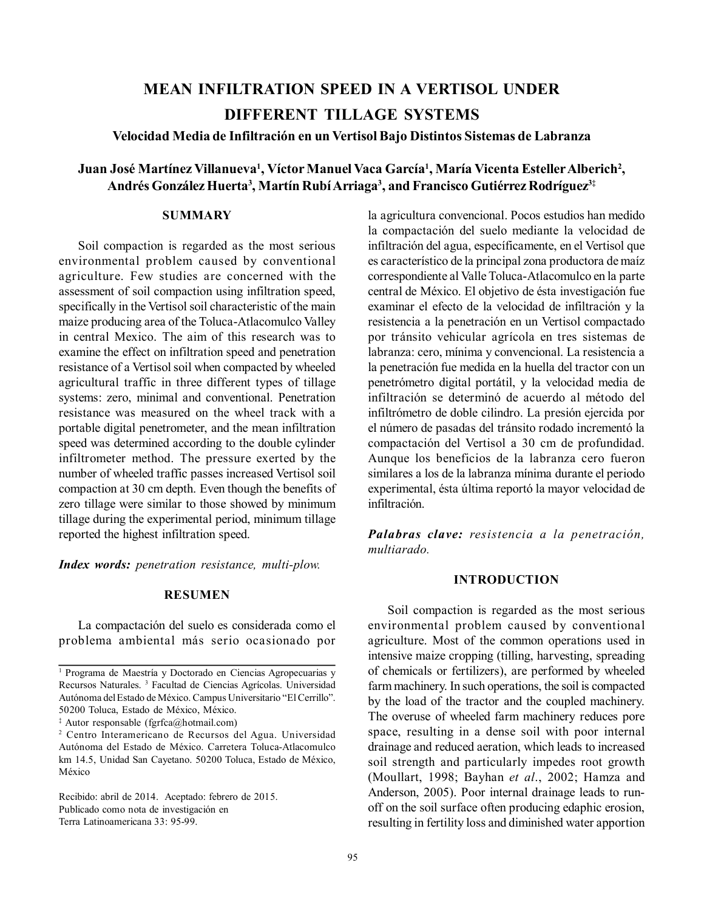# **MEAN INFILTRATION SPEED IN A VERTISOL UNDER DIFFERENT TILLAGE SYSTEMS**

**Velocidad Media de Infiltración en un VertisolBajo Distintos Sistemas de Labranza**

# $J$ uan  $J$ osé  $M$ artínez Villanueva $^1$ , Víctor  $M$ anuel Vaca García $^1$ , María Vicenta Esteller Alberich $^2$ , **Andrés González Huerta<sup>3</sup> , Martín RubíArriaga<sup>3</sup> , and Francisco Gutiérrez Rodríguez3‡**

# **SUMMARY**

Soil compaction is regarded as the most serious environmental problem caused by conventional agriculture. Few studies are concerned with the assessment of soil compaction using infiltration speed, specifically in the Vertisol soil characteristic of the main maize producing area of the Toluca-Atlacomulco Valley in central Mexico. The aim of this research was to examine the effect on infiltration speed and penetration resistance of a Vertisol soil when compacted by wheeled agricultural traffic in three different types of tillage systems: zero, minimal and conventional. Penetration resistance was measured on the wheel track with a portable digital penetrometer, and the mean infiltration speed was determined according to the double cylinder infiltrometer method. The pressure exerted by the number of wheeled traffic passes increased Vertisol soil compaction at 30 cm depth. Even though the benefits of zero tillage were similar to those showed by minimum tillage during the experimental period, minimum tillage reported the highest infiltration speed.

*Index words: penetration resistance, multi-plow.*

# **RESUMEN**

La compactación del suelo es considerada como el problema ambiental más serio ocasionado por

‡ Autor responsable (fgrfca@hotmail.com)

la agricultura convencional. Pocos estudios han medido la compactación del suelo mediante la velocidad de infiltración del agua, específicamente, en el Vertisol que es característico de la principal zona productora de maíz correspondiente al ValleToluca-Atlacomulco en la parte central de México. El objetivo de ésta investigación fue examinar el efecto de la velocidad de infiltración y la resistencia a la penetración en un Vertisol compactado por tránsito vehicular agrícola en tres sistemas de labranza: cero, mínima y convencional. La resistencia a la penetración fue medida en la huella del tractor con un penetrómetro digital portátil, y la velocidad media de infiltración se determinó de acuerdo al método del infiltrómetro de doble cilindro. La presión ejercida por el número de pasadas del tránsito rodado incrementó la compactación del Vertisol a 30 cm de profundidad. Aunque los beneficios de la labranza cero fueron similares a los de la labranza mínima durante el periodo experimental, ésta última reportó la mayor velocidad de infiltración.

*Palabras clave: resistencia a la penetración, multiarado.*

# **INTRODUCTION**

Soil compaction is regarded as the most serious environmental problem caused by conventional agriculture. Most of the common operations used in intensive maize cropping (tilling, harvesting, spreading of chemicals or fertilizers), are performed by wheeled farm machinery. In such operations, the soil is compacted by the load of the tractor and the coupled machinery. The overuse of wheeled farm machinery reduces pore space, resulting in a dense soil with poor internal drainage and reduced aeration, which leads to increased soil strength and particularly impedes root growth (Moullart, 1998; Bayhan *et al*., 2002; Hamza and Anderson, 2005). Poor internal drainage leads to runoff on the soil surface often producing edaphic erosion, resulting in fertility loss and diminished water apportion

<sup>1</sup> Programa de Maestría y Doctorado en Ciencias Agropecuarias y Recursos Naturales. <sup>3</sup> Facultad de Ciencias Agrícolas. Universidad Autónoma delEstado de México. Campus Universitario "ElCerrillo". 50200 Toluca, Estado de México, México.

<sup>2</sup> Centro Interamericano de Recursos del Agua. Universidad Autónoma del Estado de México. Carretera Toluca-Atlacomulco km 14.5, Unidad San Cayetano. 50200 Toluca, Estado de México, México

Recibido: abril de 2014. Aceptado: febrero de 2015. Publicado como nota de investigación en Terra Latinoamericana 33: 95-99.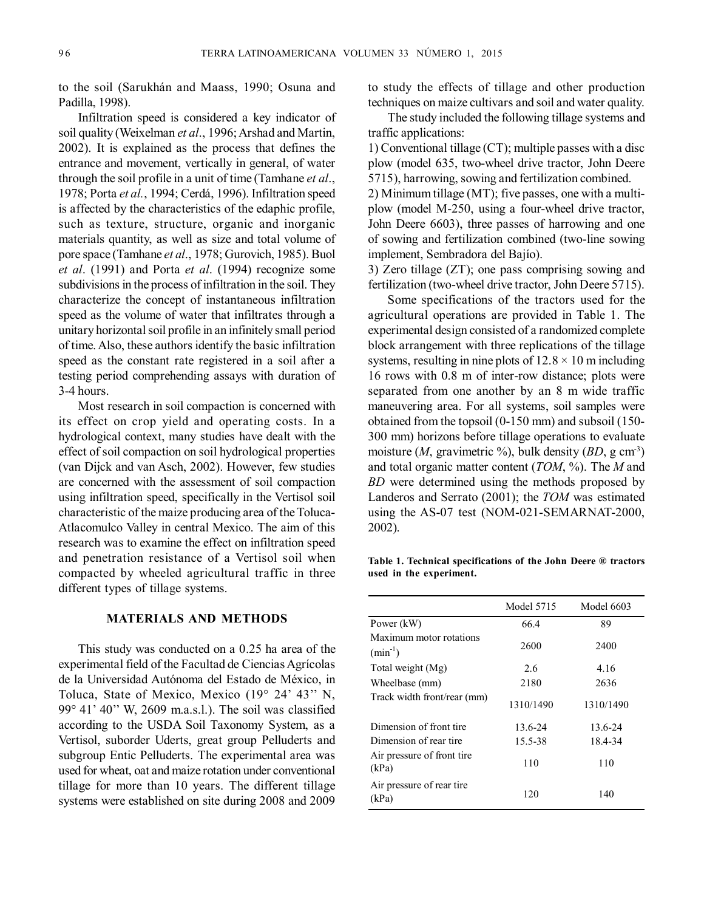to the soil (Sarukhán and Maass, 1990; Osuna and Padilla, 1998).

Infiltration speed is considered a key indicator of soil quality (Weixelman et al., 1996; Arshad and Martin, 2002). It is explained as the process that defines the entrance and movement, vertically in general, of water through the soil profile in a unit of time (Tamhane *et al*., 1978; Porta *et al.*, 1994; Cerdá, 1996). Infiltration speed is affected by the characteristics of the edaphic profile, such as texture, structure, organic and inorganic materials quantity, as well as size and total volume of pore space (Tamhane *et al*., 1978; Gurovich, 1985). Buol *et al*. (1991) and Porta *et al*. (1994) recognize some subdivisions in the process of infiltration in the soil. They characterize the concept of instantaneous infiltration speed as the volume of water that infiltrates through a unitary horizontal soil profile in an infinitely small period of time.Also, these authors identify the basic infiltration speed as the constant rate registered in a soil after a testing period comprehending assays with duration of 3-4 hours.

Most research in soil compaction is concerned with its effect on crop yield and operating costs. In a hydrological context, many studies have dealt with the effect of soil compaction on soil hydrological properties (van Dijck and van Asch, 2002). However, few studies are concerned with the assessment of soil compaction using infiltration speed, specifically in the Vertisol soil characteristic of the maize producing area of the Toluca-Atlacomulco Valley in central Mexico. The aim of this research was to examine the effect on infiltration speed and penetration resistance of a Vertisol soil when compacted by wheeled agricultural traffic in three different types of tillage systems.

# **MATERIALS AND METHODS**

This study was conducted on a 0.25 ha area of the experimental field of the Facultad de Ciencias Agrícolas de la Universidad Autónoma del Estado de México, in Toluca, State of Mexico, Mexico (19° 24' 43'' N, 99° 41' 40'' W, 2609 m.a.s.l.). The soil was classified according to the USDA Soil Taxonomy System, as a Vertisol, suborder Uderts, great group Pelluderts and subgroup Entic Pelluderts. The experimental area was used for wheat, oat and maize rotation under conventional tillage for more than 10 years. The different tillage systems were established on site during 2008 and 2009

to study the effects of tillage and other production techniques on maize cultivars and soil and water quality.

The study included the following tillage systems and traffic applications:

1) Conventional tillage (CT); multiple passes with a disc plow (model 635, two-wheel drive tractor, John Deere 5715), harrowing, sowing and fertilization combined. 2) Minimum tillage (MT); five passes, one with a multiplow (model M-250, using a four-wheel drive tractor, John Deere 6603), three passes of harrowing and one of sowing and fertilization combined (two-line sowing implement, Sembradora del Bajío).

3) Zero tillage (ZT); one pass comprising sowing and fertilization (two-wheel drive tractor, John Deere 5715).

Some specifications of the tractors used for the agricultural operations are provided in Table 1. The experimental design consisted of a randomized complete block arrangement with three replications of the tillage systems, resulting in nine plots of  $12.8 \times 10$  m including 16 rows with 0.8 m of inter-row distance; plots were separated from one another by an 8 m wide traffic maneuvering area. For all systems, soil samples were obtained from the topsoil (0-150 mm) and subsoil (150- 300 mm) horizons before tillage operations to evaluate moisture (*M*, gravimetric %), bulk density (*BD*, g cm-3) and total organic matter content (*TOM*, %). The *M* and *BD* were determined using the methods proposed by Landeros and Serrato (2001); the *TOM* was estimated using the AS-07 test (NOM-021-SEMARNAT-2000, 2002).

**Table 1. Technical specifications of the John Deere ® tractors used in the experiment.**

|                                         | Model 5715 | Model 6603 |
|-----------------------------------------|------------|------------|
| Power (kW)                              | 66.4       | 89         |
| Maximum motor rotations<br>$(min^{-1})$ | 2600       | 2400       |
| Total weight (Mg)                       | 2.6        | 4.16       |
| Wheelbase (mm)                          | 2180       | 2636       |
| Track width front/rear (mm)             | 1310/1490  | 1310/1490  |
| Dimension of front tire                 | 13.6-24    | 13.6-24    |
| Dimension of rear tire                  | 15.5-38    | 18.4-34    |
| Air pressure of front tire<br>(kPa)     | 110        | 110        |
| Air pressure of rear tire<br>(kPa)      | 120        | 140        |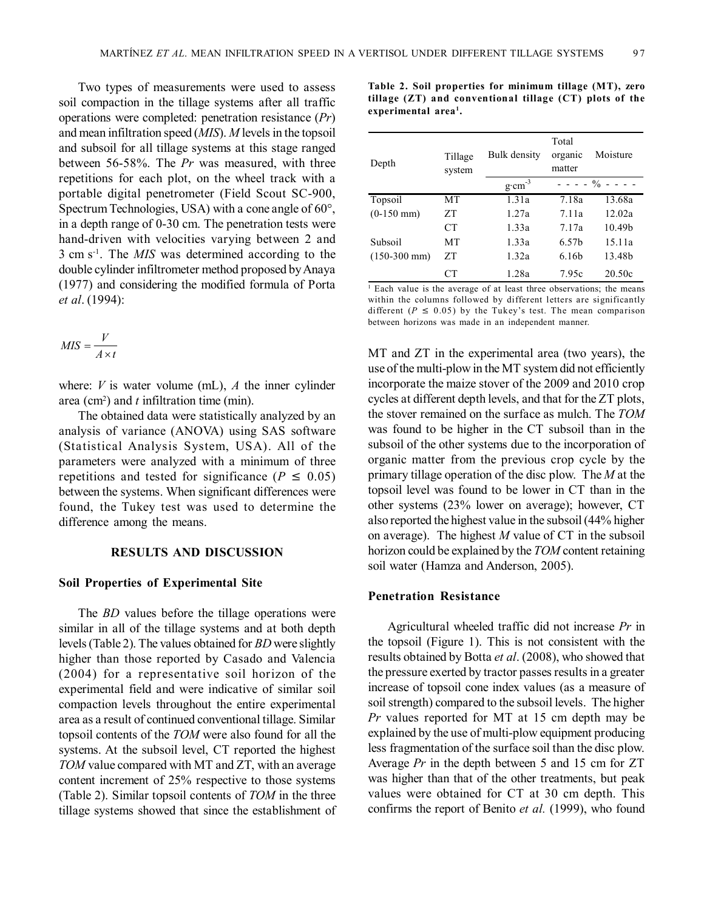Two types of measurements were used to assess soil compaction in the tillage systems after all traffic operations were completed: penetration resistance (*Pr*) and mean infiltration speed (*MIS*). *M* levels in the topsoil and subsoil for all tillage systems at this stage ranged between 56-58%. The *Pr* was measured, with three repetitions for each plot, on the wheel track with a portable digital penetrometer (Field Scout SC-900, Spectrum Technologies, USA) with a cone angle of 60°, in a depth range of 0-30 cm. The penetration tests were hand-driven with velocities varying between 2 and 3 cm s-1 . The *MIS* was determined according to the double cylinder infiltrometer method proposed byAnaya (1977) and considering the modified formula of Porta *et al*. (1994):

$$
MIS = \frac{V}{A \times t}
$$

where:  $V$  is water volume (mL),  $A$  the inner cylinder area (cm<sup>2</sup>) and  $t$  infiltration time (min).

The obtained data were statistically analyzed by an analysis of variance (ANOVA) using SAS software (Statistical Analysis System, USA). All of the parameters were analyzed with a minimum of three repetitions and tested for significance ( $P \le 0.05$ ) between the systems. When significant differences were found, the Tukey test was used to determine the difference among the means.

# **RESULTS AND DISCUSSION**

#### **Soil Properties of Experimental Site**

The *BD* values before the tillage operations were similar in all of the tillage systems and at both depth levels(Table 2). The values obtained for *BD* were slightly higher than those reported by Casado and Valencia (2004) for a representative soil horizon of the experimental field and were indicative of similar soil compaction levels throughout the entire experimental area as a result of continued conventional tillage. Similar topsoil contents of the *TOM* were also found for all the systems. At the subsoil level, CT reported the highest *TOM* value compared with MT and ZT, with an average content increment of 25% respective to those systems (Table 2). Similar topsoil contents of *TOM* in the three tillage systems showed that since the establishment of **Table 2. Soil properties for minimum tillage (MT), zero tillage (ZT) and conventional tillage (CT) plots of the experimental area<sup>1</sup> .**

| Depth          | Tillage<br>system | Bulk density      | Total<br>organic<br>matter | Moisture                      |
|----------------|-------------------|-------------------|----------------------------|-------------------------------|
|                |                   | $g \cdot cm^{-3}$ |                            | $- - - - \frac{9}{6} - - - -$ |
| Topsoil        | МT                | 1.31a             | 7.18a                      | 13.68a                        |
| $(0-150$ mm)   | ΖT                | 1.27a             | 7.11a                      | 12.02a                        |
|                | <b>CT</b>         | 1.33a             | 7.17a                      | 10.49 <sub>b</sub>            |
| Subsoil        | MТ                | 1.33a             | 6.57b                      | 15.11a                        |
| $(150-300$ mm) | ΖT                | 1.32a             | 6.16b                      | 13.48b                        |
|                |                   | 1.28a             | 7.95c                      | 20.50c                        |

<sup>1</sup> Each value is the average of at least three observations; the means within the columns followed by different letters are significantly different ( $P \le 0.05$ ) by the Tukey's test. The mean comparison between horizons was made in an independent manner.

MT and ZT in the experimental area (two years), the use of the multi-plow in the MT system did not efficiently incorporate the maize stover of the 2009 and 2010 crop cycles at different depth levels, and that for the ZT plots, the stover remained on the surface as mulch. The *TOM* was found to be higher in the CT subsoil than in the subsoil of the other systems due to the incorporation of organic matter from the previous crop cycle by the primary tillage operation of the disc plow. The *M* at the topsoil level was found to be lower in CT than in the other systems (23% lower on average); however, CT also reported the highest value in the subsoil(44% higher on average). The highest *M* value of CT in the subsoil horizon could be explained by the *TOM* content retaining soil water (Hamza and Anderson, 2005).

#### **Penetration Resistance**

Agricultural wheeled traffic did not increase *Pr* in the topsoil (Figure 1). This is not consistent with the results obtained by Botta *et al*. (2008), who showed that the pressure exerted by tractor passes results in a greater increase of topsoil cone index values (as a measure of soil strength) compared to the subsoil levels. The higher *Pr* values reported for MT at 15 cm depth may be explained by the use of multi-plow equipment producing less fragmentation of the surface soil than the disc plow. Average *Pr* in the depth between 5 and 15 cm for ZT was higher than that of the other treatments, but peak values were obtained for CT at 30 cm depth. This confirms the report of Benito *et al.* (1999), who found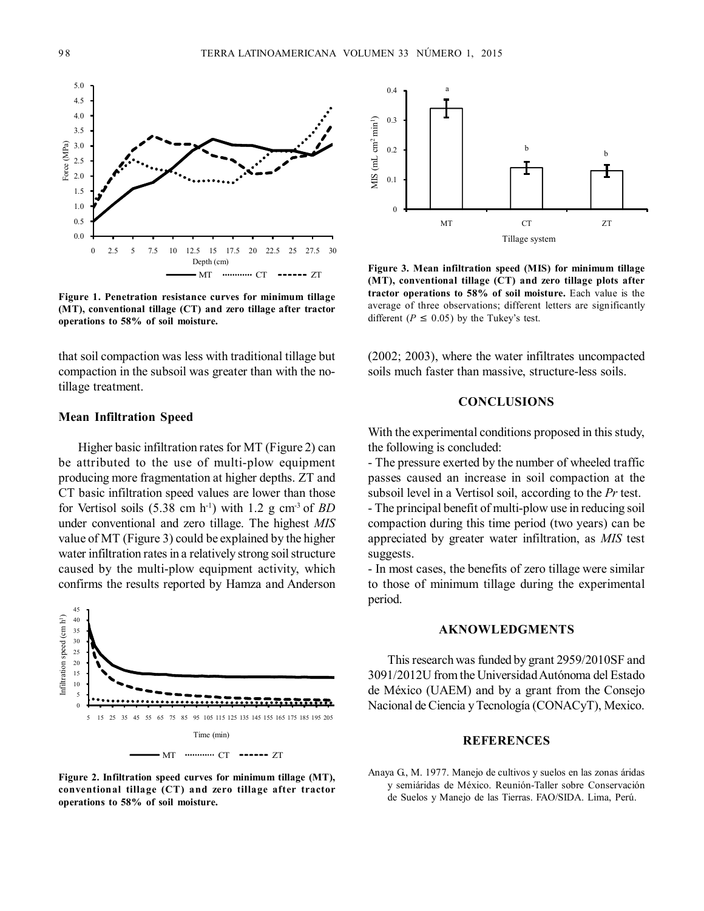

**Figure 1. Penetration resistance curves for minimum tillage (MT), conventional tillage (CT) and zero tillage after tractor operations to 58% of soil moisture.**

that soil compaction was less with traditional tillage but compaction in the subsoil was greater than with the notillage treatment.

# **Mean Infiltration Speed**

Higher basic infiltration rates for MT (Figure 2) can be attributed to the use of multi-plow equipment producing more fragmentation at higher depths. ZT and CT basic infiltration speed values are lower than those for Vertisol soils  $(5.38 \text{ cm h}^{-1})$  with 1.2 g cm<sup>-3</sup> of *BD* under conventional and zero tillage. The highest *MIS* value of MT (Figure 3) could be explained by the higher water infiltration rates in a relatively strong soil structure caused by the multi-plow equipment activity, which confirms the results reported by Hamza and Anderson



**Figure 2. Infiltration speed curves for minimum tillage (MT), conventional tillage (CT) and zero tillage after tractor operations to 58% of soil moisture.**



**Figure 3. Mean infiltration speed (MIS) for minimum tillage (MT), conventional tillage (CT) and zero tillage plots after tractor operations to 58% of soil moisture.** Each value is the average of three observations; different letters are significantly different ( $P \le 0.05$ ) by the Tukey's test.

(2002; 2003), where the water infiltrates uncompacted soils much faster than massive, structure-less soils.

#### **CONCLUSIONS**

With the experimental conditions proposed in this study, the following is concluded:

- The pressure exerted by the number of wheeled traffic passes caused an increase in soil compaction at the subsoil level in a Vertisol soil, according to the *Pr* test. - The principal benefit of multi-plow use in reducing soil compaction during this time period (two years) can be appreciated by greater water infiltration, as *MIS* test suggests.

- In most cases, the benefits of zero tillage were similar to those of minimum tillage during the experimental period.

### **AKNOWLEDGMENTS**

This research was funded by grant 2959/2010SF and 3091/2012U from the UniversidadAutónoma del Estado de México (UAEM) and by a grant from the Consejo Nacional deCiencia yTecnología (CONACyT), Mexico.

#### **REFERENCES**

Anaya G., M. 1977. Manejo de cultivos y suelos en las zonas áridas y semiáridas de México. Reunión-Taller sobre Conservación de Suelos y Manejo de las Tierras. FAO/SIDA. Lima, Perú.